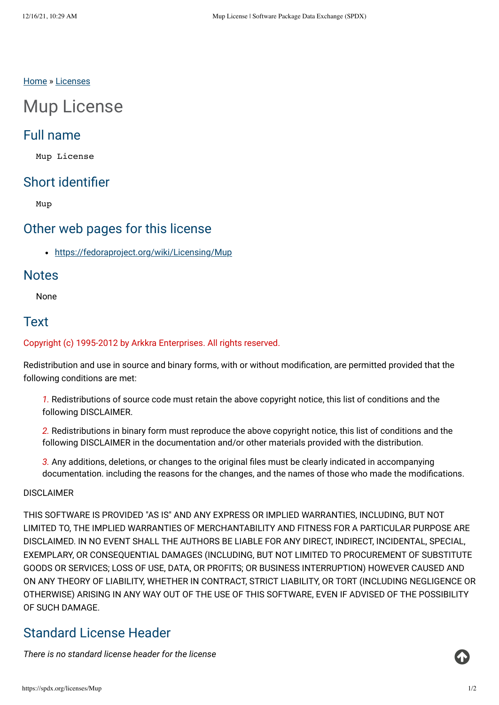#### [Home](https://spdx.org/) » [Licenses](https://spdx.org/licenses)

# Mup License

## Full name

Mup License

# Short identifier

Mup

# Other web pages for this license

• <https://fedoraproject.org/wiki/Licensing/Mup>

## **Notes**

None

## Text

#### Copyright (c) 1995-2012 by Arkkra Enterprises. All rights reserved.

Redistribution and use in source and binary forms, with or without modification, are permitted provided that the following conditions are met:

- *1.* Redistributions of source code must retain the above copyright notice, this list of conditions and the following DISCLAIMER.
- *2.* Redistributions in binary form must reproduce the above copyright notice, this list of conditions and the following DISCLAIMER in the documentation and/or other materials provided with the distribution.
- *3.* Any additions, deletions, or changes to the original files must be clearly indicated in accompanying documentation. including the reasons for the changes, and the names of those who made the modifications.

### DISCLAIMER

THIS SOFTWARE IS PROVIDED "AS IS" AND ANY EXPRESS OR IMPLIED WARRANTIES, INCLUDING, BUT NOT LIMITED TO, THE IMPLIED WARRANTIES OF MERCHANTABILITY AND FITNESS FOR A PARTICULAR PURPOSE ARE DISCLAIMED. IN NO EVENT SHALL THE AUTHORS BE LIABLE FOR ANY DIRECT, INDIRECT, INCIDENTAL, SPECIAL, EXEMPLARY, OR CONSEQUENTIAL DAMAGES (INCLUDING, BUT NOT LIMITED TO PROCUREMENT OF SUBSTITUTE GOODS OR SERVICES; LOSS OF USE, DATA, OR PROFITS; OR BUSINESS INTERRUPTION) HOWEVER CAUSED AND ON ANY THEORY OF LIABILITY, WHETHER IN CONTRACT, STRICT LIABILITY, OR TORT (INCLUDING NEGLIGENCE OR OTHERWISE) ARISING IN ANY WAY OUT OF THE USE OF THIS SOFTWARE, EVEN IF ADVISED OF THE POSSIBILITY OF SUCH DAMAGE.

# Standard License Header

*There is no standard license header for the license*